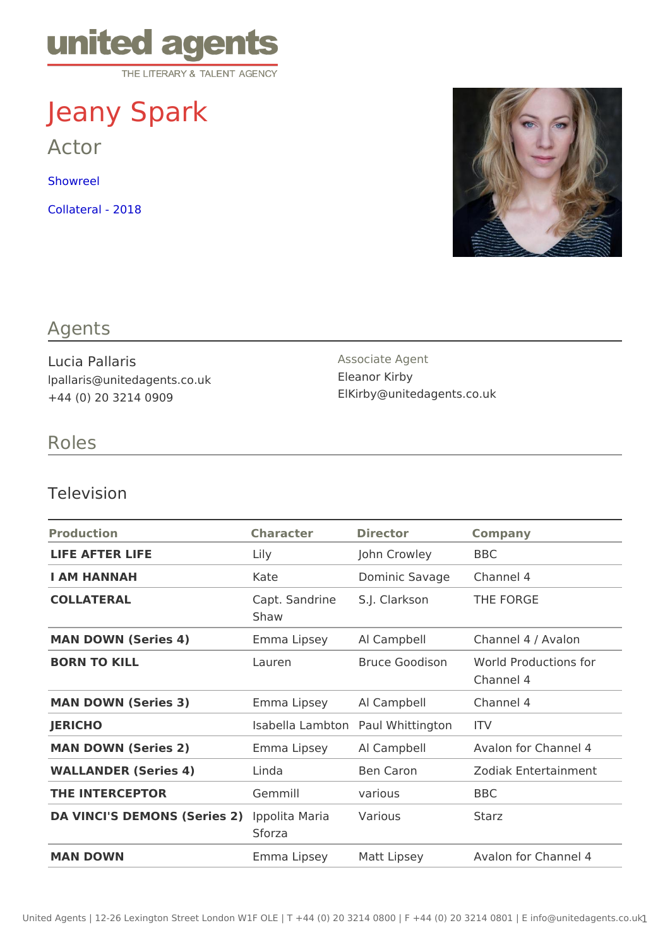# Jeany Spark

Actor

[Showre](https://vimeo.com/178339997)el

[Collateral -](https://vimeo.com/315656935) 2018

## Agents

Lucia Pallaris lpallaris@unitedagents.co.uk +44 (0) 20 3214 0909

Associate Agent Eleanor Kirby ElKirby@unitedagents.co.uk

## Roles

#### Television

| Production                                    | Character | Director                             | Company                                         |
|-----------------------------------------------|-----------|--------------------------------------|-------------------------------------------------|
| LIFE AFTER LIFE                               | $L$ ily   | John Crowley BBC                     |                                                 |
| I AM HANNAH                                   | Kate      | Dominic Savag@hannel 4               |                                                 |
| COLLATERAL                                    | Shaw      | Capt. Sandrin& J. Clarkson THE FORGE |                                                 |
| MAN DOWN (Series 4)                           |           |                                      | Emma Lipsey Al Campbell Channel 4 / Avalon      |
| <b>BORN TO KILL</b>                           | Lauren    |                                      | Bruce GoodisoWorld Productions for<br>Channel 4 |
| MAN DOWN (Series 3)                           |           | Emma Lipsey Al Campbell              | Channel 4                                       |
| <b>JERICHO</b>                                |           | Isabella LambRanl WhittingtonV       |                                                 |
| MAN DOWN (Series 2)                           |           | Emma Lipsey Al Campbell              | Avalon for Channel 4                            |
| WALLANDER (Series 4)                          | Linda     | Ben Caron                            | Zodiak Entertainment                            |
| THE INTERCEPTOR                               | Gemmill   | various                              | <b>BBC</b>                                      |
| DA VINCI'S DEMONS (Serlipso2i)ta MariaVarious | Sforza    |                                      | Starz                                           |
| MAN DOWN                                      |           |                                      | Emma Lipsey Matt Lipsey Avalon for Channel 4    |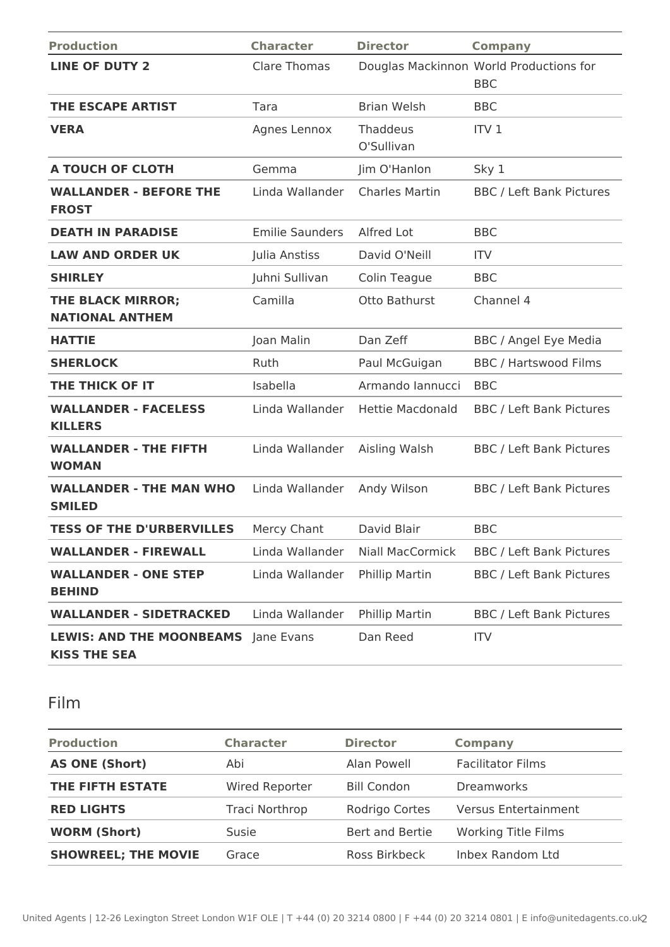| <b>Production</b>                                      | <b>Character</b>       | <b>Director</b>         | <b>Company</b>                                        |
|--------------------------------------------------------|------------------------|-------------------------|-------------------------------------------------------|
| <b>LINE OF DUTY 2</b>                                  | <b>Clare Thomas</b>    |                         | Douglas Mackinnon World Productions for<br><b>BBC</b> |
| <b>THE ESCAPE ARTIST</b>                               | Tara                   | <b>Brian Welsh</b>      | <b>BBC</b>                                            |
| <b>VERA</b>                                            | Agnes Lennox           | Thaddeus<br>O'Sullivan  | ITV <sub>1</sub>                                      |
| A TOUCH OF CLOTH                                       | Gemma                  | Jim O'Hanlon            | Sky 1                                                 |
| <b>WALLANDER - BEFORE THE</b><br><b>FROST</b>          | Linda Wallander        | <b>Charles Martin</b>   | <b>BBC / Left Bank Pictures</b>                       |
| <b>DEATH IN PARADISE</b>                               | <b>Emilie Saunders</b> | Alfred Lot              | <b>BBC</b>                                            |
| <b>LAW AND ORDER UK</b>                                | Julia Anstiss          | David O'Neill           | <b>ITV</b>                                            |
| <b>SHIRLEY</b>                                         | Juhni Sullivan         | Colin Teague            | <b>BBC</b>                                            |
| THE BLACK MIRROR;<br><b>NATIONAL ANTHEM</b>            | Camilla                | Otto Bathurst           | Channel 4                                             |
| <b>HATTIE</b>                                          | Joan Malin             | Dan Zeff                | <b>BBC</b> / Angel Eye Media                          |
| <b>SHERLOCK</b>                                        | Ruth                   | Paul McGuigan           | <b>BBC / Hartswood Films</b>                          |
| THE THICK OF IT                                        | Isabella               | Armando Iannucci        | <b>BBC</b>                                            |
| <b>WALLANDER - FACELESS</b><br><b>KILLERS</b>          | Linda Wallander        | <b>Hettie Macdonald</b> | <b>BBC / Left Bank Pictures</b>                       |
| <b>WALLANDER - THE FIFTH</b><br><b>WOMAN</b>           | Linda Wallander        | Aisling Walsh           | <b>BBC / Left Bank Pictures</b>                       |
| <b>WALLANDER - THE MAN WHO</b><br><b>SMILED</b>        | Linda Wallander        | Andy Wilson             | <b>BBC / Left Bank Pictures</b>                       |
| <b>TESS OF THE D'URBERVILLES</b>                       | Mercy Chant            | David Blair             | <b>BBC</b>                                            |
| <b>WALLANDER - FIREWALL</b>                            | Linda Wallander        | <b>Niall MacCormick</b> | <b>BBC / Left Bank Pictures</b>                       |
| <b>WALLANDER - ONE STEP</b><br><b>BEHIND</b>           | Linda Wallander        | Phillip Martin          | <b>BBC / Left Bank Pictures</b>                       |
| <b>WALLANDER - SIDETRACKED</b>                         | Linda Wallander        | Phillip Martin          | <b>BBC / Left Bank Pictures</b>                       |
| <b>LEWIS: AND THE MOONBEAMS</b><br><b>KISS THE SEA</b> | Jane Evans             | Dan Reed                | <b>ITV</b>                                            |

# Film

| <b>Production</b>          | <b>Character</b>      | <b>Director</b>    | <b>Company</b>              |
|----------------------------|-----------------------|--------------------|-----------------------------|
| <b>AS ONE (Short)</b>      | Abi                   | Alan Powell        | <b>Facilitator Films</b>    |
| THE FIFTH ESTATE           | <b>Wired Reporter</b> | <b>Bill Condon</b> | <b>Dreamworks</b>           |
| <b>RED LIGHTS</b>          | Traci Northrop        | Rodrigo Cortes     | <b>Versus Entertainment</b> |
| <b>WORM (Short)</b>        | Susie                 | Bert and Bertie    | <b>Working Title Films</b>  |
| <b>SHOWREEL; THE MOVIE</b> | Grace                 | Ross Birkbeck      | Inbex Random Ltd            |